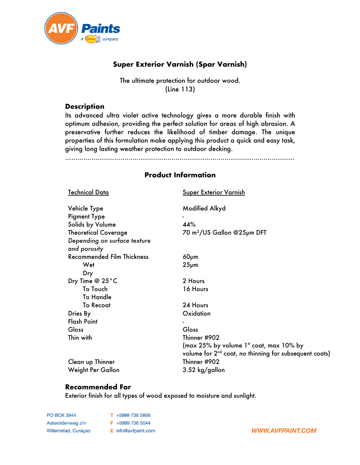

## **Super Exterior Varnish (Spar Varnish)**

### The ultimate protection for outdoor wood. (Line 113)

#### **Description**

Its advanced ultra violet active technology gives a more durable finish with optimum adhesion, providing the perfect solution for areas of high abrasion. A preservative further reduces the likelihood of timber damage. The unique properties of this formulation make applying this product a quick and easy task, giving long lasting weather protection to outdoor decking.

................................................................................................................

### **Product Information**

| <u>Technical Data</u>                        | <b>Super Exterior Varnish</b>                                                                                             |
|----------------------------------------------|---------------------------------------------------------------------------------------------------------------------------|
| Vehicle Type                                 | <b>Modified Alkyd</b>                                                                                                     |
| <b>Pigment Type</b>                          |                                                                                                                           |
| Solids by Volume                             | 44%                                                                                                                       |
| <b>Theoretical Coverage</b>                  | 70 m <sup>2</sup> /US Gallon @25µm DFT                                                                                    |
| Depending on surface texture<br>and porosity |                                                                                                                           |
| <b>Recommended Film Thickness</b>            | $60µ$ m                                                                                                                   |
| Wet                                          | $25µ$ m                                                                                                                   |
| Dry                                          |                                                                                                                           |
| Dry Time @ 25°C                              | 2 Hours                                                                                                                   |
| To Touch                                     | 16 Hours                                                                                                                  |
| <b>To Handle</b>                             |                                                                                                                           |
| <b>To Recoat</b>                             | 24 Hours                                                                                                                  |
| Dries By                                     | Oxidation                                                                                                                 |
| <b>Flash Point</b>                           |                                                                                                                           |
| Gloss                                        | Gloss                                                                                                                     |
| Thin with                                    | Thinner #902                                                                                                              |
|                                              | (max 25% by volume 1 <sup>st</sup> coat, max 10% by<br>volume for 2 <sup>nd</sup> coat, no thinning for subsequent coats) |
| Clean up Thinner                             | Thinner #902                                                                                                              |
| Weight Per Gallon                            | 3.52 kg/gallon                                                                                                            |

### **Recommended For**

Exterior finish for all types of wood exposed to moisture and sunlight.

**PO BOX 3944** T +5999 736 5866 Asteroïdenweg z/n F +5999 736 5044 Willemstad, Curaçao E info@avfpaint.com